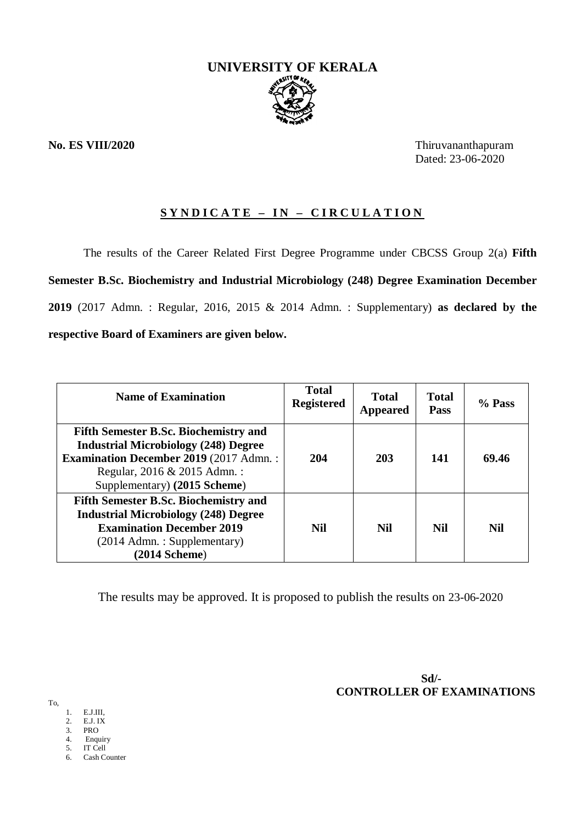

**No. ES VIII/2020** Thiruvananthapuram Dated: 23-06-2020

# **S Y N D I C A T E – I N – C I R C U L A T I O N**

The results of the Career Related First Degree Programme under CBCSS Group 2(a) **Fifth Semester B.Sc. Biochemistry and Industrial Microbiology (248) Degree Examination December 2019** (2017 Admn. : Regular, 2016, 2015 & 2014 Admn. : Supplementary) **as declared by the respective Board of Examiners are given below.**

| <b>Name of Examination</b>                                                                                                                                                                                  | <b>Total</b><br><b>Registered</b> | Total<br><b>Appeared</b> | <b>Total</b><br>Pass | % Pass |
|-------------------------------------------------------------------------------------------------------------------------------------------------------------------------------------------------------------|-----------------------------------|--------------------------|----------------------|--------|
| <b>Fifth Semester B.Sc. Biochemistry and</b><br><b>Industrial Microbiology (248) Degree</b><br><b>Examination December 2019 (2017 Admn.:</b><br>Regular, 2016 & 2015 Admn.:<br>Supplementary) (2015 Scheme) | 204                               | 203                      | 141                  | 69.46  |
| <b>Fifth Semester B.Sc. Biochemistry and</b><br><b>Industrial Microbiology (248) Degree</b><br><b>Examination December 2019</b><br>(2014 Admn.: Supplementary)<br>$(2014$ Scheme)                           | <b>Nil</b>                        | <b>Nil</b>               | Nil                  | Nil    |

The results may be approved. It is proposed to publish the results on 23-06-2020

 **Sd/- CONTROLLER OF EXAMINATIONS**

To,

- 1. E.J.III,
- 2. E.J. IX
- 3. PRO
- 4. Enquiry 5. IT Cell
- 6. Cash Counter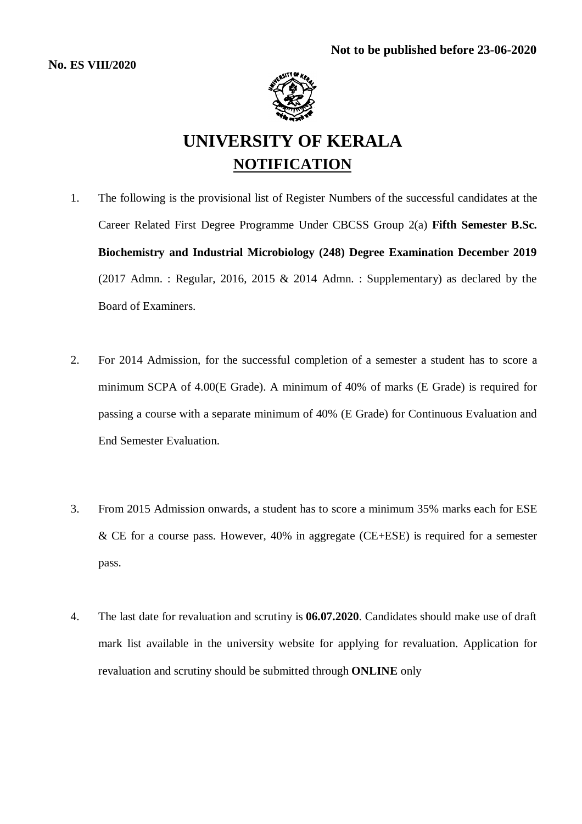

# **UNIVERSITY OF KERALA NOTIFICATION**

- 1. The following is the provisional list of Register Numbers of the successful candidates at the Career Related First Degree Programme Under CBCSS Group 2(a) **Fifth Semester B.Sc. Biochemistry and Industrial Microbiology (248) Degree Examination December 2019** (2017 Admn.: Regular, 2016, 2015  $&$  2014 Admn.: Supplementary) as declared by the Board of Examiners.
- 2. For 2014 Admission, for the successful completion of a semester a student has to score a minimum SCPA of 4.00(E Grade). A minimum of 40% of marks (E Grade) is required for passing a course with a separate minimum of 40% (E Grade) for Continuous Evaluation and End Semester Evaluation.
- 3. From 2015 Admission onwards, a student has to score a minimum 35% marks each for ESE & CE for a course pass. However, 40% in aggregate (CE+ESE) is required for a semester pass.
- 4. The last date for revaluation and scrutiny is **06.07.2020**. Candidates should make use of draft mark list available in the university website for applying for revaluation. Application for revaluation and scrutiny should be submitted through **ONLINE** only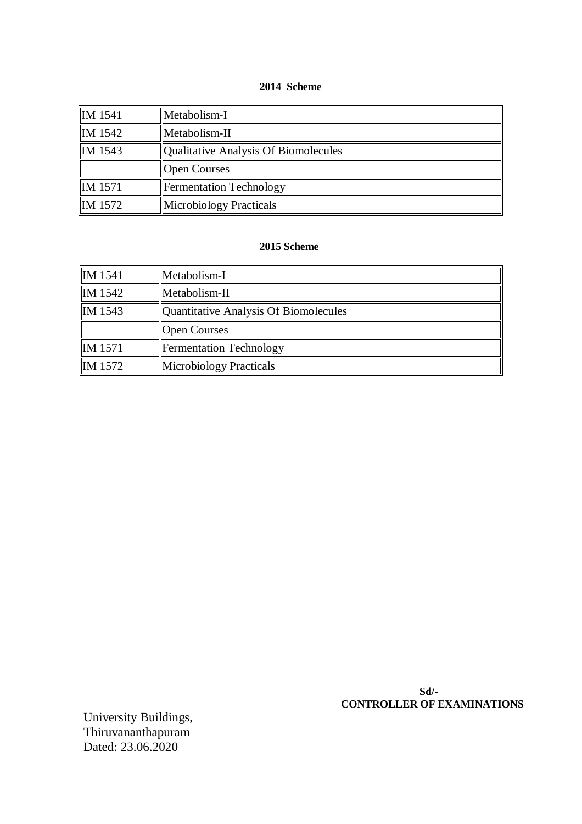#### **2014 Scheme**

| $\parallel$ IM 1541 | Metabolism-I                         |
|---------------------|--------------------------------------|
| $\parallel$ IM 1542 | Metabolism-II                        |
| IM 1543             | Qualitative Analysis Of Biomolecules |
|                     | <b>Open Courses</b>                  |
| $\parallel$ IM 1571 | <b>Fermentation Technology</b>       |
| <b>IM</b> 1572      | Microbiology Practicals              |

# **2015 Scheme**

| IM 1541 | Metabolism-I                          |
|---------|---------------------------------------|
| IM 1542 | Metabolism-II                         |
| IM 1543 | Quantitative Analysis Of Biomolecules |
|         | <b>Open Courses</b>                   |
| IM 1571 | <b>Fermentation Technology</b>        |
| IM 1572 | <b>Microbiology Practicals</b>        |

 **Sd/- CONTROLLER OF EXAMINATIONS**

University Buildings, Thiruvananthapuram Dated: 23.06.2020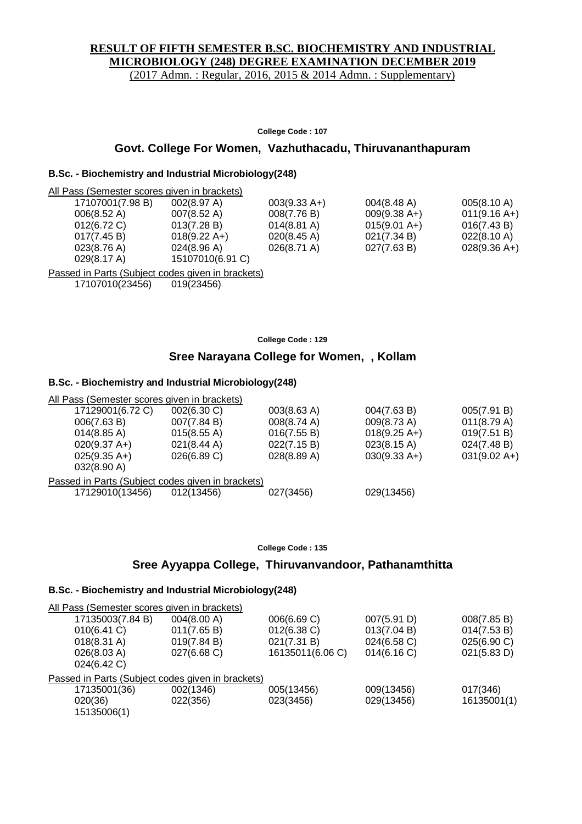# **RESULT OF FIFTH SEMESTER B.SC. BIOCHEMISTRY AND INDUSTRIAL MICROBIOLOGY (248) DEGREE EXAMINATION DECEMBER 2019**

(2017 Admn. : Regular, 2016, 2015 & 2014 Admn. : Supplementary)

**College Code : 107**

#### **Govt. College For Women, Vazhuthacadu, Thiruvananthapuram**

# **B.Sc. - Biochemistry and Industrial Microbiology(248)**

| All Pass (Semester scores given in brackets) |                        |                       |                        |                       |
|----------------------------------------------|------------------------|-----------------------|------------------------|-----------------------|
| 17107001(7.98 B)                             | 002(8.97 A)            | $003(9.33 A+)$        | $004(8.48 \text{ A})$  | 005(8.10 A)           |
| $006(8.52 \text{ A})$                        | $007(8.52 \text{ A})$  | 008(7.76 B)           | $009(9.38 A+)$         | $011(9.16 A+)$        |
| $012(6.72)$ C)                               | 013(7.28 B)            | $014(8.81 \text{ A})$ | $015(9.01 \text{ A+})$ | 016(7.43 B)           |
| 017(7.45 B)                                  | $018(9.22 \text{ A+})$ | $020(8.45 \text{ A})$ | 021(7.34 B)            | $022(8.10 \text{ A})$ |
| 023(8.76)                                    | $024(8.96 \text{ A})$  | $026(8.71 \text{ A})$ | 027(7.63 B)            | $028(9.36 A+)$        |
| 029(8.17 A)                                  | 15107010(6.91 C)       |                       |                        |                       |
|                                              |                        |                       |                        |                       |

Passed in Parts (Subject codes given in brackets) 17107010(23456) 019(23456)

**College Code : 129**

# **Sree Narayana College for Women, , Kollam**

#### **B.Sc. - Biochemistry and Industrial Microbiology(248)**

| All Pass (Semester scores given in brackets)      |             |                       |                        |                        |
|---------------------------------------------------|-------------|-----------------------|------------------------|------------------------|
| 17129001(6.72 C)                                  | 002(6.30 C) | $003(8.63 \text{ A})$ | 004(7.63 B)            | 005(7.91 B)            |
| 006(7.63 B)                                       | 007(7.84 B) | $008(8.74 \text{ A})$ | $009(8.73 \text{ A})$  | 011(8.79 A)            |
| $014(8.85 \text{ A})$                             | 015(8.55 A) | 016(7.55 B)           | $018(9.25 \text{ A+})$ | 019(7.51 B)            |
| $020(9.37 \text{ A+})$                            | 021(8.44 A) | 022(7.15 B)           | $023(8.15 \text{ A})$  | 024(7.48 B)            |
| $025(9.35 \text{ A+})$                            | 026(6.89 C) | 028(8.89 A)           | $030(9.33 A+)$         | $031(9.02 \text{ A+})$ |
| $032(8.90 \text{ A})$                             |             |                       |                        |                        |
| Passed in Parts (Subject codes given in brackets) |             |                       |                        |                        |
| 17129010(13456)                                   | 012(13456)  | 027(3456)             | 029(13456)             |                        |
|                                                   |             |                       |                        |                        |

**College Code : 135**

### **Sree Ayyappa College, Thiruvanvandoor, Pathanamthitta**

#### **B.Sc. - Biochemistry and Industrial Microbiology(248)**

| All Pass (Semester scores given in brackets)      |             |                  |             |             |
|---------------------------------------------------|-------------|------------------|-------------|-------------|
| 17135003(7.84 B)                                  | 004(8.00 A) | 006(6.69 C)      | 007(5.91 D) | 008(7.85 B) |
| 010(6.41 C)                                       | 011(7.65 B) | $012(6.38)$ C)   | 013(7.04 B) | 014(7.53 B) |
| $018(8.31 \text{ A})$                             | 019(7.84 B) | 021(7.31 B)      | 024(6.58 C) | 025(6.90 C) |
| 026(8.03 A)<br>024(6.42 C)                        | 027(6.68 C) | 16135011(6.06 C) | 014(6.16)   | 021(5.83 D) |
| Passed in Parts (Subject codes given in brackets) |             |                  |             |             |
| 17135001(36)                                      | 002(1346)   | 005(13456)       | 009(13456)  | 017(346)    |
| 020(36)                                           | 022(356)    | 023(3456)        | 029(13456)  | 16135001(1) |
| 15135006(1)                                       |             |                  |             |             |